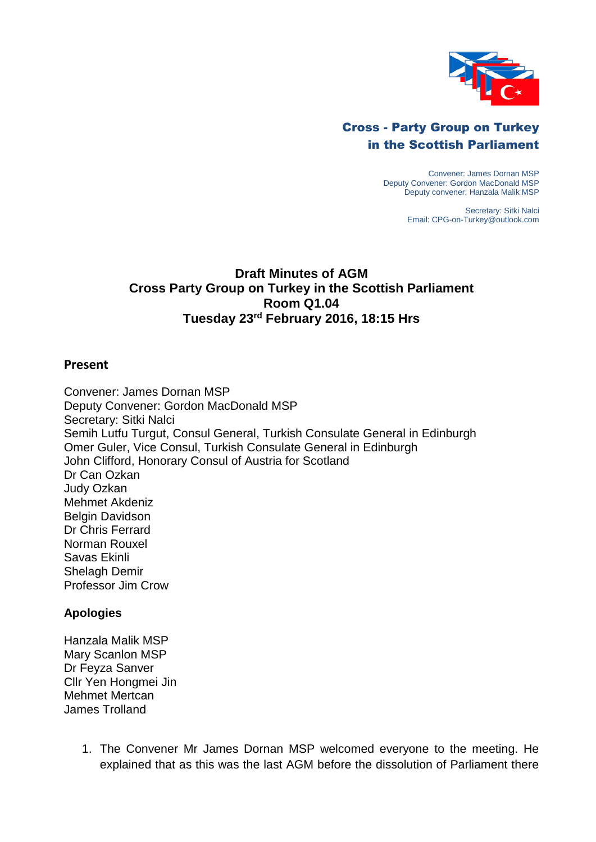

## Cross - Party Group on Turkey in the Scottish Parliament

Convener: James Dornan MSP Deputy Convener: Gordon MacDonald MSP Deputy convener: Hanzala Malik MSP

> Secretary: Sitki Nalci Email: CPG-on-Turkey@outlook.com

## **Draft Minutes of AGM Cross Party Group on Turkey in the Scottish Parliament Room Q1.04 Tuesday 23rd February 2016, 18:15 Hrs**

## **Present**

Convener: James Dornan MSP Deputy Convener: Gordon MacDonald MSP Secretary: Sitki Nalci Semih Lutfu Turgut, Consul General, Turkish Consulate General in Edinburgh Omer Guler, Vice Consul, Turkish Consulate General in Edinburgh John Clifford, Honorary Consul of Austria for Scotland Dr Can Ozkan Judy Ozkan Mehmet Akdeniz Belgin Davidson Dr Chris Ferrard Norman Rouxel Savas Ekinli Shelagh Demir Professor Jim Crow

## **Apologies**

- Hanzala Malik MSP Mary Scanlon MSP Dr Feyza Sanver Cllr Yen Hongmei Jin Mehmet Mertcan James Trolland
	- 1. The Convener Mr James Dornan MSP welcomed everyone to the meeting. He explained that as this was the last AGM before the dissolution of Parliament there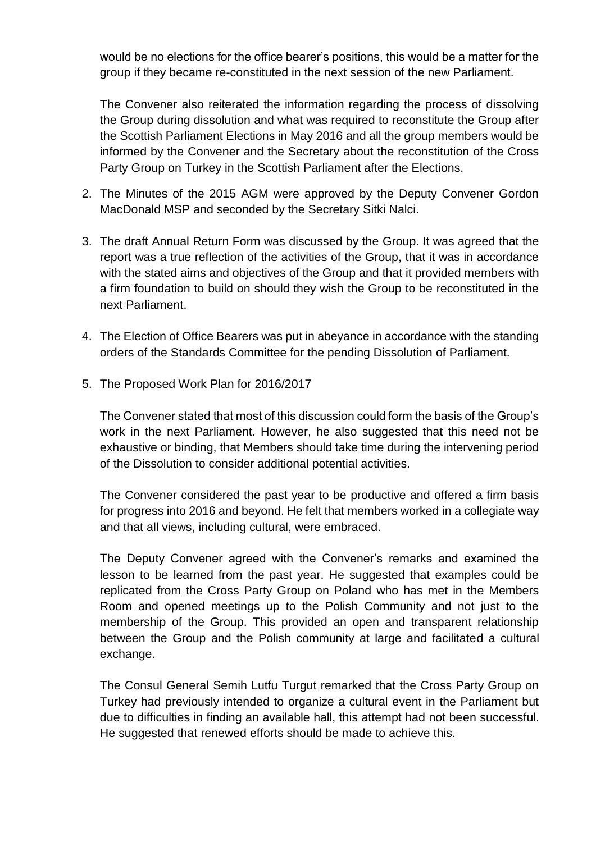would be no elections for the office bearer's positions, this would be a matter for the group if they became re-constituted in the next session of the new Parliament.

The Convener also reiterated the information regarding the process of dissolving the Group during dissolution and what was required to reconstitute the Group after the Scottish Parliament Elections in May 2016 and all the group members would be informed by the Convener and the Secretary about the reconstitution of the Cross Party Group on Turkey in the Scottish Parliament after the Elections.

- 2. The Minutes of the 2015 AGM were approved by the Deputy Convener Gordon MacDonald MSP and seconded by the Secretary Sitki Nalci.
- 3. The draft Annual Return Form was discussed by the Group. It was agreed that the report was a true reflection of the activities of the Group, that it was in accordance with the stated aims and objectives of the Group and that it provided members with a firm foundation to build on should they wish the Group to be reconstituted in the next Parliament.
- 4. The Election of Office Bearers was put in abeyance in accordance with the standing orders of the Standards Committee for the pending Dissolution of Parliament.
- 5. The Proposed Work Plan for 2016/2017

The Convener stated that most of this discussion could form the basis of the Group's work in the next Parliament. However, he also suggested that this need not be exhaustive or binding, that Members should take time during the intervening period of the Dissolution to consider additional potential activities.

The Convener considered the past year to be productive and offered a firm basis for progress into 2016 and beyond. He felt that members worked in a collegiate way and that all views, including cultural, were embraced.

The Deputy Convener agreed with the Convener's remarks and examined the lesson to be learned from the past year. He suggested that examples could be replicated from the Cross Party Group on Poland who has met in the Members Room and opened meetings up to the Polish Community and not just to the membership of the Group. This provided an open and transparent relationship between the Group and the Polish community at large and facilitated a cultural exchange.

The Consul General Semih Lutfu Turgut remarked that the Cross Party Group on Turkey had previously intended to organize a cultural event in the Parliament but due to difficulties in finding an available hall, this attempt had not been successful. He suggested that renewed efforts should be made to achieve this.